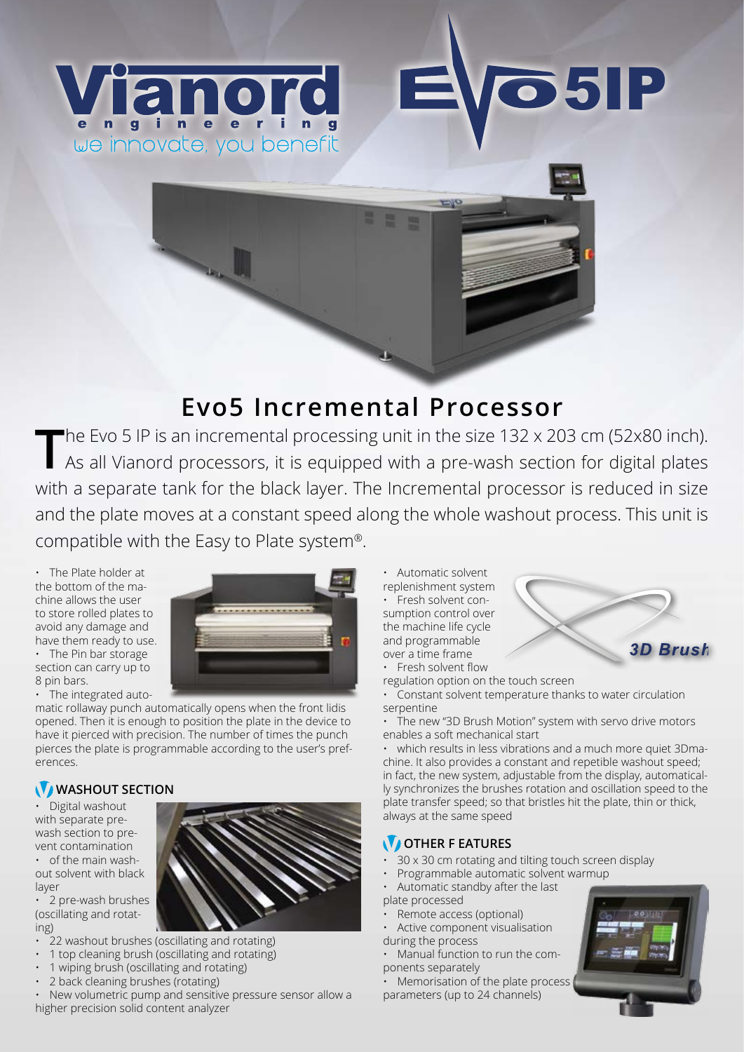

## **Evo5 Incremental Processor**

The Evo 5 IP is an incremental processing unit in the size 132 x 203 cm (52x80 inch). As all Vianord processors, it is equipped with a pre-wash section for digital plates with a separate tank for the black layer. The Incremental processor is reduced in size and the plate moves at a constant speed along the whole washout process. This unit is compatible with the Easy to Plate system®.

 $\overline{r}$ 

• The Plate holder at the bottom of the machine allows the user to store rolled plates to avoid any damage and have them ready to use.

• The Pin bar storage section can carry up to 8 pin bars.

• The integrated auto-

matic rollaway punch automatically opens when the front lidis opened. Then it is enough to position the plate in the device to have it pierced with precision. The number of times the punch pierces the plate is programmable according to the user's preferences.

## WASHOUT SECTION

• Digital washout with separate prewash section to prevent contamination • of the main wash-

out solvent with black layer

• 2 pre-wash brushes (oscillating and rotating)

- 22 washout brushes (oscillating and rotating)
- 1 top cleaning brush (oscillating and rotating)
- 1 wiping brush (oscillating and rotating)
- 2 back cleaning brushes (rotating)

• New volumetric pump and sensitive pressure sensor allow a higher precision solid content analyzer

• Automatic solvent replenishment system • Fresh solvent consumption control over the machine life cycle and programmable over a time frame



regulation option on the touch screen

• Constant solvent temperature thanks to water circulation serpentine

**85IP** 

• The new "3D Brush Motion" system with servo drive motors enables a soft mechanical start

• which results in less vibrations and a much more quiet 3Dmachine. It also provides a constant and repetible washout speed; in fact, the new system, adjustable from the display, automatically synchronizes the brushes rotation and oscillation speed to the plate transfer speed; so that bristles hit the plate, thin or thick, always at the same speed

## **V** OTHER F EATURES

- 30 x 30 cm rotating and tilting touch screen display
- Programmable automatic solvent warmup
- Automatic standby after the last plate processed
- Remote access (optional)
- Active component visualisation
- during the process
- Manual function to run the components separately

Memorisation of the plate process parameters (up to 24 channels)



**3D Brush** 



.............